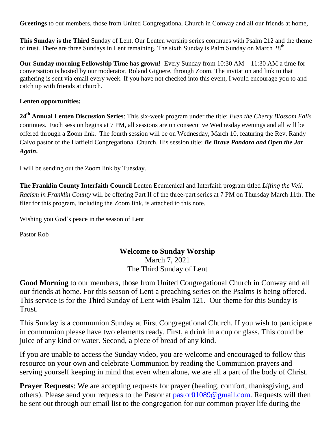**Greetings** to our members, those from United Congregational Church in Conway and all our friends at home,

**This Sunday is the Third** Sunday of Lent. Our Lenten worship series continues with Psalm 212 and the theme of trust. There are three Sundays in Lent remaining. The sixth Sunday is Palm Sunday on March 28<sup>th</sup>.

**Our Sunday morning Fellowship Time has grown!** Every Sunday from 10:30 AM – 11:30 AM a time for conversation is hosted by our moderator, Roland Giguere, through Zoom. The invitation and link to that gathering is sent via email every week. If you have not checked into this event, I would encourage you to and catch up with friends at church.

#### **Lenten opportunities:**

**24th Annual Lenten Discussion Series**: This six-week program under the title: *Even the Cherry Blossom Falls* continues. Each session begins at 7 PM, all sessions are on consecutive Wednesday evenings and all will be offered through a Zoom link. The fourth session will be on Wednesday, March 10, featuring the Rev. Randy Calvo pastor of the Hatfield Congregational Church. His session title: *Be Brave Pandora and Open the Jar Again***.**

I will be sending out the Zoom link by Tuesday.

**The Franklin County Interfaith Council** Lenten Ecumenical and Interfaith program titled *Lifting the Veil: Racism in Franklin County* will be offering Part II of the three-part series at 7 PM on Thursday March 11th. The flier for this program, including the Zoom link, is attached to this note.

Wishing you God's peace in the season of Lent

Pastor Rob

#### **Welcome to Sunday Worship**

March 7, 2021 The Third Sunday of Lent

**Good Morning** to our members, those from United Congregational Church in Conway and all our friends at home. For this season of Lent a preaching series on the Psalms is being offered. This service is for the Third Sunday of Lent with Psalm 121. Our theme for this Sunday is Trust.

This Sunday is a communion Sunday at First Congregational Church. If you wish to participate in communion please have two elements ready. First, a drink in a cup or glass. This could be juice of any kind or water. Second, a piece of bread of any kind.

If you are unable to access the Sunday video, you are welcome and encouraged to follow this resource on your own and celebrate Communion by reading the Communion prayers and serving yourself keeping in mind that even when alone, we are all a part of the body of Christ.

**Prayer Requests**: We are accepting requests for prayer (healing, comfort, thanksgiving, and others). Please send your requests to the Pastor at [pastor01089@gmail.com.](mailto:pastor01089@gmail.com) Requests will then be sent out through our email list to the congregation for our common prayer life during the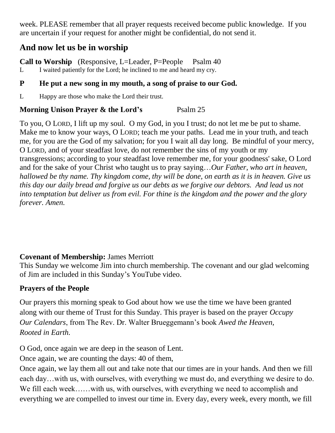week. PLEASE remember that all prayer requests received become public knowledge. If you are uncertain if your request for another might be confidential, do not send it.

# **And now let us be in worship**

**Call to Worship** (Responsive, L=Leader, P=People Psalm 40 L I waited patiently for the Lord; he inclined to me and heard my cry.

## **P He put a new song in my mouth, a song of praise to our God.**

L Happy are those who make the Lord their trust.

## **Morning Unison Prayer & the Lord's** Psalm 25

To you, O LORD, I lift up my soul. O my God, in you I trust; do not let me be put to shame. Make me to know your ways, O LORD; teach me your paths. Lead me in your truth, and teach me, for you are the God of my salvation; for you I wait all day long. Be mindful of your mercy, O LORD, and of your steadfast love, do not remember the sins of my youth or my transgressions; according to your steadfast love remember me, for your goodness' sake, O Lord and for the sake of your Christ who taught us to pray saying…*Our Father, who art in heaven, hallowed be thy name. Thy kingdom come, thy will be done, on earth as it is in heaven. Give us this day our daily bread and forgive us our debts as we forgive our debtors. And lead us not into temptation but deliver us from evil. For thine is the kingdom and the power and the glory forever. Amen.*

# **Covenant of Membership:** James Merriott

This Sunday we welcome Jim into church membership. The covenant and our glad welcoming of Jim are included in this Sunday's YouTube video.

# **Prayers of the People**

Our prayers this morning speak to God about how we use the time we have been granted along with our theme of Trust for this Sunday. This prayer is based on the prayer *Occupy Our Calendars*, from The Rev. Dr. Walter Brueggemann's book *Awed the Heaven, Rooted in Earth.*

O God, once again we are deep in the season of Lent.

Once again, we are counting the days: 40 of them,

Once again, we lay them all out and take note that our times are in your hands. And then we fill each day…with us, with ourselves, with everything we must do, and everything we desire to do. We fill each week……with us, with ourselves, with everything we need to accomplish and everything we are compelled to invest our time in. Every day, every week, every month, we fill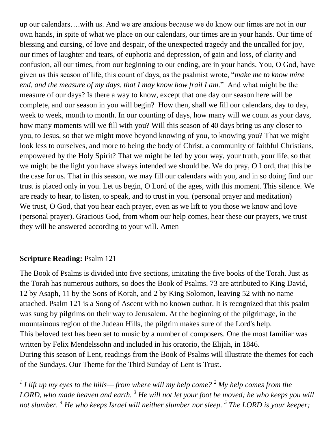up our calendars….with us. And we are anxious because we do know our times are not in our own hands, in spite of what we place on our calendars, our times are in your hands. Our time of blessing and cursing, of love and despair, of the unexpected tragedy and the uncalled for joy, our times of laughter and tears, of euphoria and depression, of gain and loss, of clarity and confusion, all our times, from our beginning to our ending, are in your hands. You, O God, have given us this season of life, this count of days, as the psalmist wrote, "*make me to know mine end, and the measure of my days, that I may know how frail I am*." And what might be the measure of our days? Is there a way to know, except that one day our season here will be complete, and our season in you will begin? How then, shall we fill our calendars, day to day, week to week, month to month. In our counting of days, how many will we count as your days, how many moments will we fill with you? Will this season of 40 days bring us any closer to you, to Jesus, so that we might move beyond knowing of you, to knowing you? That we might look less to ourselves, and more to being the body of Christ, a community of faithful Christians, empowered by the Holy Spirit? That we might be led by your way, your truth, your life, so that we might be the light you have always intended we should be. We do pray, O Lord, that this be the case for us. That in this season, we may fill our calendars with you, and in so doing find our trust is placed only in you. Let us begin, O Lord of the ages, with this moment. This silence. We are ready to hear, to listen, to speak, and to trust in you. (personal prayer and meditation) We trust, O God, that you hear each prayer, even as we lift to you those we know and love (personal prayer). Gracious God, from whom our help comes, hear these our prayers, we trust they will be answered according to your will. Amen

#### **Scripture Reading:** Psalm 121

The Book of Psalms is divided into five sections, imitating the five books of the Torah. Just as the Torah has numerous authors, so does the Book of Psalms. 73 are attributed to King David, 12 by Asaph, 11 by the Sons of Korah, and 2 by King Solomon, leaving 52 with no name attached. Psalm 121 is a [Song of Ascent](https://en.wikipedia.org/wiki/Song_of_Ascent) with no known author. It is recognized that this [psalm](https://en.wikipedia.org/wiki/Psalm) was sung by [pilgrims](https://en.wikipedia.org/wiki/Pilgrim) on their way to [Jerusalem.](https://en.wikipedia.org/wiki/Jerusalem) At the beginning of the pilgrimage, in the mountainous region of the Judean Hills, the pilgrim makes sure of the Lord's help. This beloved text has been set to music by a number of composers. One the most familiar was written by Felix Mendelssohn and included in his oratorio, the Elijah, in 1846. During this season of Lent, readings from the Book of Psalms will illustrate the themes for each of the Sundays. Our Theme for the Third Sunday of Lent is Trust.

*1 I lift up my eyes to the hills— from where will my help come? <sup>2</sup> My help comes from the LORD, who made heaven and earth. <sup>3</sup> He will not let your foot be moved; he who keeps you will not slumber. <sup>4</sup> He who keeps Israel will neither slumber nor sleep. <sup>5</sup> The LORD is your keeper;*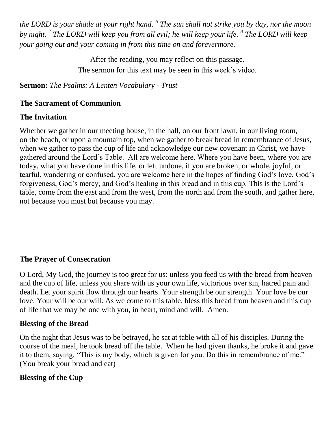*the LORD is your shade at your right hand. <sup>6</sup> The sun shall not strike you by day, nor the moon by night. <sup>7</sup> The LORD will keep you from all evil; he will keep your life. <sup>8</sup> The LORD will keep your going out and your coming in from this time on and forevermore.* 

> After the reading, you may reflect on this passage. The sermon for this text may be seen in this week's video.

**Sermon:** *The Psalms: A Lenten Vocabulary - Trust*

#### **The Sacrament of Communion**

#### **The Invitation**

Whether we gather in our meeting house, in the hall, on our front lawn, in our living room, on the beach, or upon a mountain top, when we gather to break bread in remembrance of Jesus, when we gather to pass the cup of life and acknowledge our new covenant in Christ, we have gathered around the Lord's Table. All are welcome here. Where you have been, where you are today, what you have done in this life, or left undone, if you are broken, or whole, joyful, or tearful, wandering or confused, you are welcome here in the hopes of finding God's love, God's forgiveness, God's mercy, and God's healing in this bread and in this cup. This is the Lord's table, come from the east and from the west, from the north and from the south, and gather here, not because you must but because you may.

### **The Prayer of Consecration**

O Lord, My God, the journey is too great for us: unless you feed us with the bread from heaven and the cup of life, unless you share with us your own life, victorious over sin, hatred pain and death. Let your spirit flow through our hearts. Your strength be our strength. Your love be our love. Your will be our will. As we come to this table, bless this bread from heaven and this cup of life that we may be one with you, in heart, mind and will. Amen.

#### **Blessing of the Bread**

On the night that Jesus was to be betrayed, he sat at table with all of his disciples. During the course of the meal, he took bread off the table. When he had given thanks, he broke it and gave it to them, saying, "This is my body, which is given for you. Do this in remembrance of me." (You break your bread and eat)

### **Blessing of the Cup**